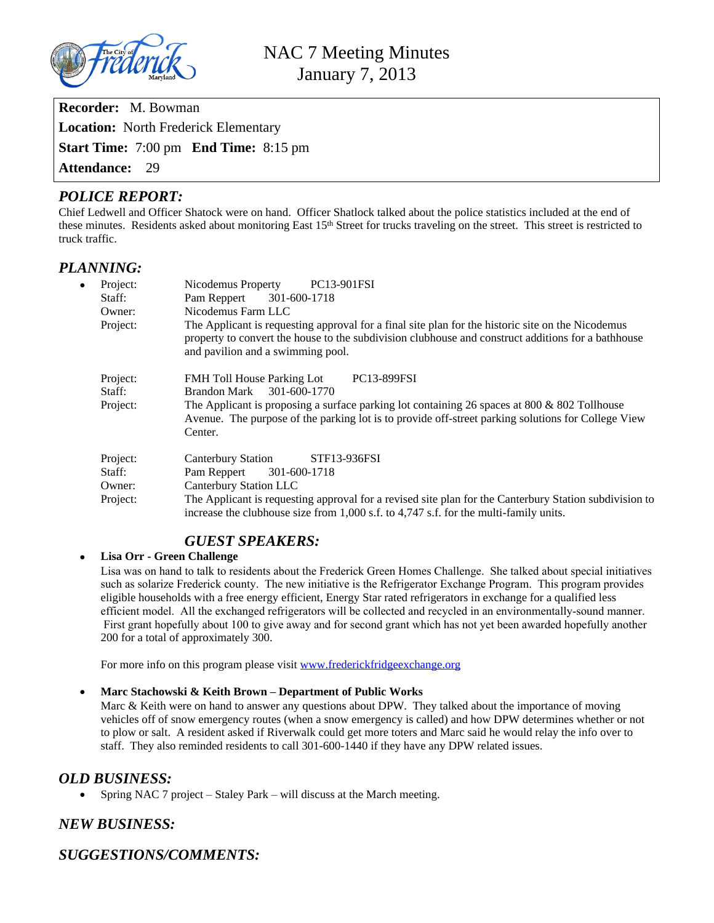

| <b>Recorder:</b> M. Bowman                          |  |
|-----------------------------------------------------|--|
| <b>Location:</b> North Frederick Elementary         |  |
| <b>Start Time:</b> 7:00 pm <b>End Time:</b> 8:15 pm |  |
| <b>Attendance: 29</b>                               |  |

## *POLICE REPORT:*

Chief Ledwell and Officer Shatock were on hand. Officer Shatlock talked about the police statistics included at the end of these minutes. Residents asked about monitoring East 15<sup>th</sup> Street for trucks traveling on the street. This street is restricted to truck traffic.

## *PLANNING:*

| Project:<br>$\bullet$<br>Staff:<br>Owner:<br>Project: | Nicodemus Property<br>PC13-901FSI<br>Pam Reppert 301-600-1718<br>Nicodemus Farm LLC<br>The Applicant is requesting approval for a final site plan for the historic site on the Nicodemus<br>property to convert the house to the subdivision clubhouse and construct additions for a bathhouse<br>and pavilion and a swimming pool. |
|-------------------------------------------------------|-------------------------------------------------------------------------------------------------------------------------------------------------------------------------------------------------------------------------------------------------------------------------------------------------------------------------------------|
| Project:<br>Staff:<br>Project:                        | <b>FMH</b> Toll House Parking Lot<br><b>PC13-899FSI</b><br>301-600-1770<br>Brandon Mark<br>The Applicant is proposing a surface parking lot containing 26 spaces at 800 $\&$ 802 Tollhouse<br>Avenue. The purpose of the parking lot is to provide off-street parking solutions for College View<br>Center.                         |
| Project:<br>Staff:<br>Owner:<br>Project:              | STF13-936FSI<br>Canterbury Station<br>Pam Reppert<br>301-600-1718<br>Canterbury Station LLC<br>The Applicant is requesting approval for a revised site plan for the Canterbury Station subdivision to<br>increase the clubhouse size from 1,000 s.f. to 4,747 s.f. for the multi-family units.                                      |

# *GUEST SPEAKERS:*

### **Lisa Orr - Green Challenge**

Lisa was on hand to talk to residents about the Frederick Green Homes Challenge. She talked about special initiatives such as solarize Frederick county. The new initiative is the Refrigerator Exchange Program. This program provides eligible households with a free energy efficient, Energy Star rated refrigerators in exchange for a qualified less efficient model. All the exchanged refrigerators will be collected and recycled in an environmentally-sound manner. First grant hopefully about 100 to give away and for second grant which has not yet been awarded hopefully another 200 for a total of approximately 300.

For more info on this program please visit [www.frederickfridgeexchange.org](http://www.frederickfridgeexchange.org)

#### **Marc Stachowski & Keith Brown – Department of Public Works**

Marc & Keith were on hand to answer any questions about DPW. They talked about the importance of moving vehicles off of snow emergency routes (when a snow emergency is called) and how DPW determines whether or not to plow or salt. A resident asked if Riverwalk could get more toters and Marc said he would relay the info over to staff. They also reminded residents to call 301-600-1440 if they have any DPW related issues.

## *OLD BUSINESS:*

• Spring NAC 7 project – Staley Park – will discuss at the March meeting.

# *NEW BUSINESS:*

*SUGGESTIONS/COMMENTS:*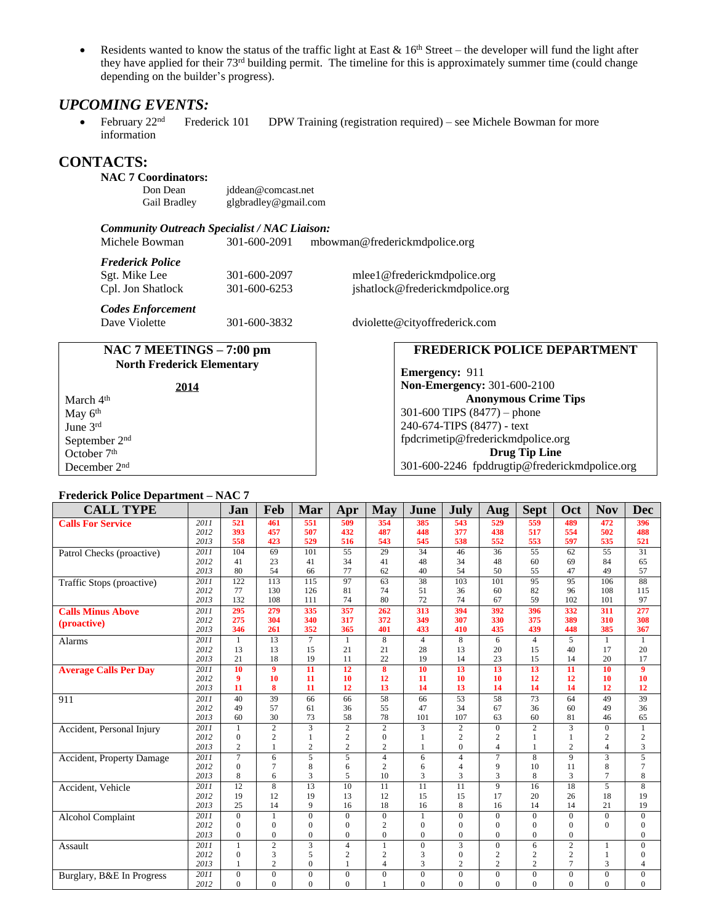Residents wanted to know the status of the traffic light at East  $& 16<sup>th</sup> Street - the developer will fund the light after$ they have applied for their  $73<sup>rd</sup>$  building permit. The timeline for this is approximately summer time (could change depending on the builder's progress).

### *UPCOMING EVENTS:*

February  $22<sup>nd</sup>$  Frederick 101 DPW Training (registration required) – see Michele Bowman for more information

## **CONTACTS:**

### **NAC 7 Coordinators:**

Don Dean [jddean@comcast.net](mailto:jddean@comcast.net)<br>Gail Bradley glgbradley@gmail.co [glgbradley@gmail.com](mailto:glgbradley@gmail.com)

*Community Outreach Specialist / NAC Liaison:*

[mbowman@frederickmdpolice.org](mailto:mbowman@frederickmdpolice.org)

| Frederick Police |
|------------------|
|                  |

*Codes Enforcement*

| Sgt. Mike Lee     | 301-600-2097 | mlee1@frederickmdpolice.org   |
|-------------------|--------------|-------------------------------|
| Cpl. Jon Shatlock | 301-600-6253 | jshatlock@frederickmdpolice.o |

**NAC 7 MEETINGS – 7:00 pm North Frederick Elementary**

jshatlock@frederickmdpolice.org

301-600-3832 dviolette@cityoffrederick.com

### **FREDERICK POLICE DEPARTMENT**

**Emergency:** 911 **Non-Emergency:** 301-600-2100 **Anonymous Crime Tips** 301-600 TIPS (8477) – phone 240-674-TIPS (8477) - text [fpdcrimetip@frederickmdpolice.org](mailto:fpdcrimetip@frederickmdpolice.org) **Drug Tip Line** 301-600-2246 fpddrugtip@frederickmdpolice.org

|                           | 2014 |
|---------------------------|------|
| March 4 <sup>th</sup>     |      |
| May 6 <sup>th</sup>       |      |
| June 3rd                  |      |
| September 2 <sup>nd</sup> |      |
| October 7 <sup>th</sup>   |      |
| December 2 <sup>nd</sup>  |      |

#### **Frederick Police Department – NAC 7**

| <b>CALL TYPE</b>             |              | Jan            | Feb             | Mar                            | Apr                              | <b>May</b>                         | June           | July                             | Aug                              | <b>Sept</b>     | Oct                 | <b>Nov</b>          | <b>Dec</b>        |
|------------------------------|--------------|----------------|-----------------|--------------------------------|----------------------------------|------------------------------------|----------------|----------------------------------|----------------------------------|-----------------|---------------------|---------------------|-------------------|
| <b>Calls For Service</b>     | 2011         | 521            | 461             | 551                            | 509                              | 354                                | 385            | 543                              | 529                              | 559             | 489                 | 472                 | 396               |
|                              | 2012         | 393            | 457             | 507                            | 432                              | 487                                | 448            | 377                              | 438                              | 517             | 554                 | 502                 | 488               |
|                              | 2013         | 558            | 423             | 529                            | 516                              | 543                                | 545            | 538                              | 552                              | 553             | 597                 | 535                 | 521               |
| Patrol Checks (proactive)    | 2011         | 104            | 69              | 101                            | 55                               | 29                                 | 34             | 46                               | 36                               | 55              | 62                  | 55                  | 31                |
|                              | 2012         | 41             | 23              | 41                             | 34                               | 41                                 | 48             | 34                               | 48                               | 60              | 69                  | 84                  | 65                |
|                              | 2013         | 80             | 54              | 66                             | 77                               | 62                                 | 40             | 54                               | 50                               | 55              | 47                  | 49                  | 57                |
| Traffic Stops (proactive)    | 2011         | 122            | 113             | 115                            | 97                               | 63                                 | 38             | 103                              | 101                              | 95              | 95                  | 106                 | 88                |
|                              | 2012         | 77             | 130             | 126                            | 81                               | 74                                 | 51             | 36                               | 60                               | 82              | 96                  | 108                 | 115               |
|                              | 2013         | 132            | 108             | 111                            | 74                               | 80                                 | 72             | 74                               | 67                               | 59              | 102                 | 101                 | 97                |
| <b>Calls Minus Above</b>     | 2011         | 295            | 279             | 335                            | 357                              | 262                                | 313            | 394                              | 392                              | 396             | 332                 | 311                 | 277               |
| (proactive)                  | 2012         | 275            | 304             | 340                            | 317                              | 372                                | 349            | 307                              | 330                              | 375             | 389                 | 310                 | 308               |
|                              | 2013         | 346            | 261             | 352                            | 365                              | 401                                | 433            | 410                              | 435                              | 439             | 448                 | 385                 | 367               |
| <b>Alarms</b>                | 2011         | 1              | $\overline{13}$ | $\overline{7}$                 | $\mathbf{1}$                     | $\overline{8}$                     | $\overline{4}$ | 8                                | 6                                | $\overline{4}$  | 5                   | 1                   | $\mathbf{1}$      |
|                              | 2012         | 13             | 13              | 15                             | 21                               | 21                                 | 28             | 13                               | 20                               | 15              | 40                  | 17                  | 20                |
|                              | 2013         | 21             | 18              | 19                             | 11                               | 22                                 | 19             | 14                               | 23                               | 15              | 14                  | 20                  | 17                |
| <b>Average Calls Per Day</b> | 2011         | 10             | 9               | $\overline{11}$                | $\overline{12}$                  | 8                                  | 10             | 13                               | $\overline{13}$                  | 13              | $\overline{11}$     | 10                  | 9                 |
|                              | 2012<br>2013 | 9<br>11        | 10<br>8         | 11<br>11                       | 10                               | 12                                 | 11<br>14       | 10<br>13                         | 10<br>14                         | 12<br>14        | 12<br>14            | 10                  | 10                |
|                              |              |                |                 |                                | 12                               | 13                                 |                |                                  |                                  |                 |                     | 12                  | 12                |
| 911                          | 2011         | 40             | 39              | 66                             | 66                               | 58                                 | 66             | $\overline{53}$                  | 58                               | $\overline{73}$ | 64                  | 49                  | $\overline{39}$   |
|                              | 2012<br>2013 | 49<br>60       | 57<br>30        | 61                             | 36<br>58                         | 55<br>78                           | 47<br>101      | 34<br>107                        | 67<br>63                         | 36<br>60        | 60<br>81            | 49<br>46            | 36                |
|                              |              |                | $\overline{2}$  | 73                             |                                  |                                    |                |                                  |                                  |                 |                     |                     | 65                |
| Accident, Personal Injury    | 2011<br>2012 | 1<br>$\theta$  | $\overline{c}$  | $\overline{3}$                 | $\overline{c}$                   | $\overline{c}$                     | 3              | $\overline{c}$<br>$\overline{c}$ | $\overline{0}$                   | $\overline{2}$  | $\overline{3}$      | $\overline{0}$      | $\mathbf{1}$      |
|                              | 2013         | $\overline{2}$ | 1               | $\mathbf{1}$<br>$\overline{c}$ | $\overline{c}$<br>$\overline{c}$ | $\boldsymbol{0}$<br>$\overline{2}$ | 1              | $\theta$                         | $\overline{c}$<br>$\overline{4}$ | 1               | 1<br>$\overline{c}$ | 2<br>$\overline{4}$ | $\mathbf{2}$<br>3 |
|                              | 2011         | $\overline{7}$ | 6               | $\overline{5}$                 | $\overline{5}$                   | $\overline{4}$                     | 6              | 4                                | $\overline{7}$                   | $\overline{8}$  | $\overline{9}$      | $\overline{3}$      | $\overline{5}$    |
| Accident, Property Damage    | 2012         | $\Omega$       | $\overline{7}$  | 8                              | 6                                | $\overline{c}$                     | 6              | 4                                | 9                                | 10              | 11                  | 8                   | $\tau$            |
|                              | 2013         | 8              | 6               | 3                              | 5                                | 10                                 | 3              | 3                                | 3                                | 8               | 3                   | 7                   | 8                 |
| Accident, Vehicle            | 2011         | 12             | $\overline{8}$  | $\overline{13}$                | $\overline{10}$                  | $\overline{11}$                    | 11             | 11                               | $\overline{9}$                   | $\overline{16}$ | $\overline{18}$     | $\overline{5}$      | $\overline{8}$    |
|                              | 2012         | 19             | 12              | 19                             | 13                               | 12                                 | 15             | 15                               | 17                               | 20              | 26                  | 18                  | 19                |
|                              | 2013         | 25             | 14              | 9                              | 16                               | 18                                 | 16             | 8                                | 16                               | 14              | 14                  | 21                  | 19                |
| Alcohol Complaint            | 2011         | $\Omega$       | $\mathbf{1}$    | $\overline{0}$                 | $\Omega$                         | $\mathbf{0}$                       | 1              | $\theta$                         | $\theta$                         | $\Omega$        | $\Omega$            | $\Omega$            | $\mathbf{0}$      |
|                              | 2012         | $\Omega$       | $\Omega$        | $\Omega$                       | $\mathbf{0}$                     | $\overline{2}$                     | $\Omega$       | $\theta$                         | $\Omega$                         | $\theta$        | $\Omega$            | $\Omega$            | $\mathbf{0}$      |
|                              | 2013         | $\mathbf{0}$   | $\mathbf{0}$    | $\overline{0}$                 | $\mathbf{0}$                     | $\overline{0}$                     | $\Omega$       | $\mathbf{0}$                     | $\overline{0}$                   | $\mathbf{0}$    | $\theta$            |                     | $\boldsymbol{0}$  |
| Assault                      | 2011         |                | $\overline{c}$  | 3                              | $\overline{4}$                   | $\mathbf{1}$                       | $\overline{0}$ | 3                                | $\overline{0}$                   | 6               | $\overline{c}$      |                     | $\boldsymbol{0}$  |
|                              | 2012         | $\mathbf{0}$   | 3               | 5                              | $\overline{2}$                   | $\overline{2}$                     | 3              | $\mathbf{0}$                     | $\overline{c}$                   | $\overline{c}$  | $\overline{2}$      |                     | $\overline{0}$    |
|                              | 2013         | 1              | $\overline{c}$  | $\overline{0}$                 | $\mathbf{1}$                     | $\overline{4}$                     | 3              | $\overline{c}$                   | $\overline{c}$                   | $\overline{c}$  | 7                   | 3                   | 4                 |
| Burglary, B&E In Progress    | 2011         | $\Omega$       | $\Omega$        | $\overline{0}$                 | $\mathbf{0}$                     | $\mathbf{0}$                       | $\theta$       | $\mathbf{0}$                     | $\overline{0}$                   | $\theta$        | $\overline{0}$      | $\mathbf{0}$        | $\boldsymbol{0}$  |
|                              | 2012         | $\Omega$       | $\Omega$        | $\Omega$                       | $\Omega$                         | $\mathbf{1}$                       | $\Omega$       | $\Omega$                         | $\Omega$                         | $\theta$        | $\Omega$            | $\Omega$            | $\Omega$          |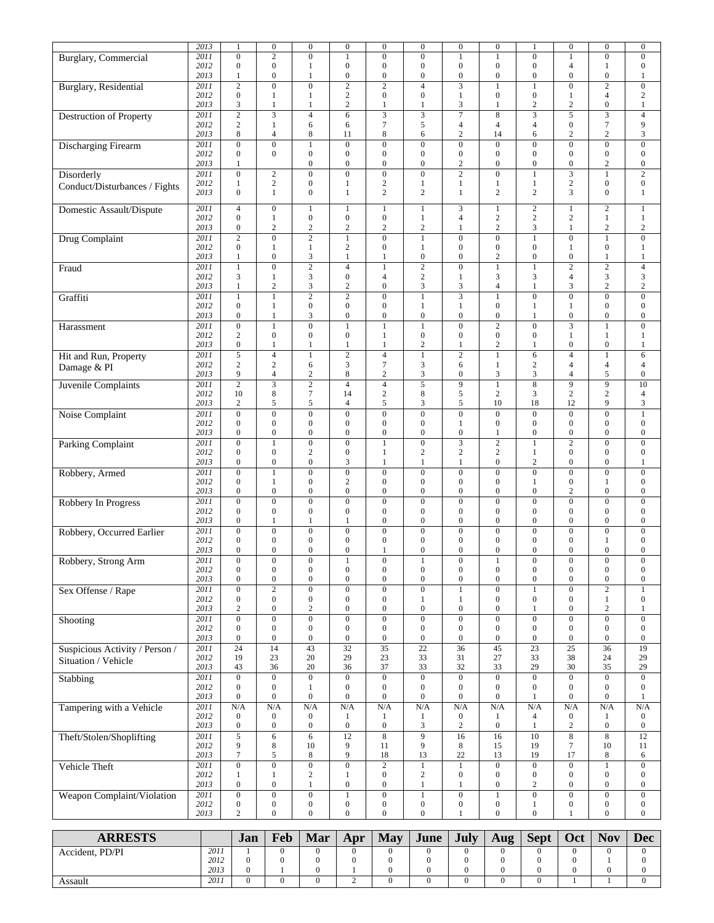|                                | $\overline{20}13$ | 1                                    | $\boldsymbol{0}$                     | $\boldsymbol{0}$                     | $\boldsymbol{0}$                     | $\boldsymbol{0}$                   | $\boldsymbol{0}$                     | $\boldsymbol{0}$                     | $\boldsymbol{0}$                     | 1                                  | $\boldsymbol{0}$                     | $\boldsymbol{0}$                     | $\boldsymbol{0}$                     |
|--------------------------------|-------------------|--------------------------------------|--------------------------------------|--------------------------------------|--------------------------------------|------------------------------------|--------------------------------------|--------------------------------------|--------------------------------------|------------------------------------|--------------------------------------|--------------------------------------|--------------------------------------|
| <b>Burglary</b> , Commercial   | 2011              | $\mathbf{0}$                         | $\overline{2}$                       | $\overline{0}$                       | $\mathbf{1}$                         | $\overline{0}$                     | $\boldsymbol{0}$                     | $\mathbf{1}$                         | $\mathbf{1}$                         | $\overline{0}$                     | $\mathbf{1}$                         | $\overline{0}$                       | $\boldsymbol{0}$                     |
|                                | 2012              | $\mathbf{0}$                         | $\boldsymbol{0}$                     | $\mathbf{1}$                         | $\boldsymbol{0}$                     | $\mathbf{0}$                       | $\boldsymbol{0}$                     | $\boldsymbol{0}$                     | $\boldsymbol{0}$                     | $\mathbf{0}$                       | $\overline{4}$                       | $\mathbf{1}$                         | $\boldsymbol{0}$                     |
|                                | 2013              | 1                                    | $\boldsymbol{0}$                     | $\mathbf{1}$                         | $\boldsymbol{0}$                     | $\boldsymbol{0}$                   | $\boldsymbol{0}$                     | $\boldsymbol{0}$                     | $\boldsymbol{0}$                     | $\boldsymbol{0}$                   | $\boldsymbol{0}$                     | $\boldsymbol{0}$                     | 1                                    |
| <b>Burglary</b> , Residential  | 2011              | $\mathbf{2}$                         | $\overline{0}$                       | $\overline{0}$                       | $\overline{2}$                       | $\overline{2}$                     | $\overline{4}$                       | $\overline{\mathbf{3}}$              | $\mathbf{1}$                         | $\mathbf{1}$                       | $\overline{0}$                       | $\overline{2}$                       | $\boldsymbol{0}$                     |
|                                | 2012              | $\boldsymbol{0}$                     | $\mathbf{1}$                         | $\mathbf{1}$                         | $\sqrt{2}$                           | $\boldsymbol{0}$                   | $\boldsymbol{0}$                     | $\mathbf{1}$                         | $\boldsymbol{0}$                     | $\boldsymbol{0}$                   | $\mathbf{1}$                         | $\overline{4}$                       | $\sqrt{2}$                           |
|                                | 2013              | 3                                    | 1                                    | 1                                    | $\sqrt{2}$                           | 1                                  | 1                                    | 3                                    | 1                                    | $\sqrt{2}$                         | $\sqrt{2}$                           | $\boldsymbol{0}$                     | $\mathbf{1}$                         |
| Destruction of Property        | 2011              | $\overline{2}$                       | $\overline{3}$                       | $\overline{4}$                       | 6                                    |                                    | $\overline{3}$                       | $\overline{\tau}$                    | $\overline{8}$                       | $\overline{\mathbf{3}}$            | $\overline{5}$                       | $\overline{\mathbf{3}}$              | $\overline{4}$                       |
|                                | 2012              | $\mathfrak{2}$                       | $\mathbf{1}$                         | 6                                    | 6                                    | $7\phantom{.0}$                    | 5                                    | 4                                    | $\overline{4}$                       | 4                                  | $\boldsymbol{0}$                     | $\tau$                               | 9                                    |
|                                | 2013              | 8                                    | $\overline{4}$                       | 8                                    | 11                                   | $\,8\,$                            | 6                                    | $\overline{c}$                       | 14                                   | 6                                  | $\overline{c}$                       | $\overline{c}$                       | 3                                    |
| Discharging Firearm            | 2011              | $\boldsymbol{0}$<br>$\overline{0}$   | $\boldsymbol{0}$<br>$\mathbf{0}$     | $\mathbf{1}$<br>$\boldsymbol{0}$     | $\boldsymbol{0}$<br>$\boldsymbol{0}$ | $\boldsymbol{0}$<br>$\mathbf{0}$   | $\boldsymbol{0}$<br>$\mathbf{0}$     | $\boldsymbol{0}$<br>$\boldsymbol{0}$ | $\boldsymbol{0}$<br>$\overline{0}$   | $\boldsymbol{0}$<br>$\overline{0}$ | $\boldsymbol{0}$<br>$\overline{0}$   | $\boldsymbol{0}$<br>$\boldsymbol{0}$ | $\boldsymbol{0}$<br>$\boldsymbol{0}$ |
|                                | 2012<br>2013      | 1                                    |                                      | $\boldsymbol{0}$                     | $\mathbf{0}$                         | $\mathbf{0}$                       | $\boldsymbol{0}$                     | $\boldsymbol{2}$                     | $\boldsymbol{0}$                     | $\boldsymbol{0}$                   | $\boldsymbol{0}$                     | 2                                    | $\boldsymbol{0}$                     |
| Disorderly                     | 2011              | $\boldsymbol{0}$                     | $\mathbf{2}$                         | $\overline{0}$                       | $\overline{0}$                       | $\overline{0}$                     | $\boldsymbol{0}$                     | $\overline{2}$                       | $\overline{0}$                       | $\mathbf{1}$                       | $\overline{\overline{3}}$            | $\mathbf{1}$                         | $\overline{2}$                       |
|                                | 2012              | 1                                    | $\mathbf{2}$                         | $\boldsymbol{0}$                     | $\mathbf{1}$                         | $\sqrt{2}$                         | 1                                    | $\mathbf{1}$                         | $\mathbf{1}$                         | $\mathbf{1}$                       | $\sqrt{2}$                           | $\boldsymbol{0}$                     | $\boldsymbol{0}$                     |
| Conduct/Disturbances / Fights  | 2013              | $\mathbf{0}$                         | 1                                    | $\mathbf{0}$                         | $\mathbf{1}$                         | $\overline{c}$                     | $\overline{c}$                       | $\mathbf{1}$                         | $\overline{c}$                       | $\mathbf{2}$                       | 3                                    | $\overline{0}$                       | $\mathbf{1}$                         |
|                                |                   |                                      |                                      |                                      |                                      |                                    |                                      |                                      |                                      |                                    |                                      |                                      |                                      |
| Domestic Assault/Dispute       | 2011              | $\overline{4}$                       | $\boldsymbol{0}$                     | 1                                    | 1                                    | 1                                  | 1                                    | 3                                    | 1                                    | $\mathbf{2}$                       | 1                                    | $\overline{c}$                       | $\mathbf{1}$                         |
|                                | 2012              | $\boldsymbol{0}$<br>$\boldsymbol{0}$ | $\mathbf{1}$                         | $\boldsymbol{0}$                     | $\boldsymbol{0}$                     | $\boldsymbol{0}$                   | $\mathbf{1}$                         | $\overline{4}$                       | $\sqrt{2}$<br>$\sqrt{2}$             | $\mathbf{2}$                       | $\sqrt{2}$                           | $\mathbf{1}$                         | $\mathbf{1}$                         |
|                                | 2013<br>2011      | $\overline{2}$                       | $\sqrt{2}$<br>$\overline{0}$         | $\sqrt{2}$<br>$\overline{2}$         | $\sqrt{2}$<br>$\overline{1}$         | $\sqrt{2}$<br>$\overline{0}$       | $\sqrt{2}$<br>$\overline{1}$         | 1<br>$\overline{0}$                  | $\overline{0}$                       | 3                                  | $\mathbf{1}$<br>$\overline{0}$       | $\sqrt{2}$<br>$\overline{1}$         | $\sqrt{2}$<br>$\overline{0}$         |
| Drug Complaint                 | 2012              | $\boldsymbol{0}$                     | 1                                    | $\mathbf{1}$                         | 2                                    | $\mathbf{0}$                       | 1                                    | $\boldsymbol{0}$                     | $\boldsymbol{0}$                     | $\mathbf{1}$<br>$\mathbf{0}$       | $\mathbf{1}$                         | $\boldsymbol{0}$                     | 1                                    |
|                                | 2013              | 1                                    | $\boldsymbol{0}$                     | 3                                    | $\mathbf{1}$                         | $\mathbf{1}$                       | $\boldsymbol{0}$                     | $\boldsymbol{0}$                     | $\overline{c}$                       | $\boldsymbol{0}$                   | $\boldsymbol{0}$                     | $\mathbf{1}$                         | $\mathbf{1}$                         |
| Fraud                          | 2011              | 1                                    | $\boldsymbol{0}$                     | $\overline{2}$                       | $\overline{4}$                       | $\mathbf{1}$                       | $\overline{2}$                       | $\overline{0}$                       | $\mathbf{1}$                         | $\mathbf{1}$                       | $\overline{2}$                       | $\overline{2}$                       | $\overline{4}$                       |
|                                | 2012              | 3                                    | $\mathbf{1}$                         | $\sqrt{3}$                           | $\boldsymbol{0}$                     | $\overline{4}$                     | $\sqrt{2}$                           | 1                                    | 3                                    | 3                                  | $\overline{4}$                       | 3                                    | $\mathfrak{Z}$                       |
|                                | 2013              | $\mathbf{1}$                         | $\overline{2}$                       | 3                                    | $\sqrt{2}$                           | $\boldsymbol{0}$                   | 3                                    | 3                                    | $\overline{4}$                       | $\mathbf{1}$                       | 3                                    | $\overline{c}$                       | $\sqrt{2}$                           |
| Graffiti                       | 2011              | $\mathbf{1}$                         | $\mathbf{1}$                         | $\overline{2}$                       | $\overline{2}$                       | $\mathbf{0}$                       | $\mathbf{1}$                         | $\overline{3}$                       | $\mathbf{1}$                         | $\overline{0}$                     | $\overline{0}$                       | $\boldsymbol{0}$                     | $\boldsymbol{0}$                     |
|                                | 2012              | $\boldsymbol{0}$                     | $\mathbf{1}$                         | $\boldsymbol{0}$                     | $\boldsymbol{0}$                     | $\boldsymbol{0}$                   | $\mathbf{1}$                         | $\mathbf{1}$                         | $\boldsymbol{0}$                     | 1                                  | 1                                    | $\boldsymbol{0}$                     | $\boldsymbol{0}$                     |
|                                | 2013              | $\boldsymbol{0}$                     | 1                                    | 3                                    | $\mathbf{0}$                         | $\mathbf{0}$                       | $\boldsymbol{0}$                     | $\boldsymbol{0}$                     | $\boldsymbol{0}$                     | 1                                  | $\boldsymbol{0}$                     | $\boldsymbol{0}$                     | $\boldsymbol{0}$                     |
| Harassment                     | 2011              | $\boldsymbol{0}$                     | $\mathbf{1}$                         | $\overline{0}$                       | $\overline{1}$                       | $\mathbf{1}$                       | $\mathbf{1}$                         | $\overline{0}$                       | $\overline{2}$                       | $\overline{0}$                     | $\overline{\overline{3}}$            | $\mathbf{1}$                         | $\overline{0}$                       |
|                                | 2012              | $\mathbf{2}$                         | $\boldsymbol{0}$                     | $\boldsymbol{0}$                     | $\boldsymbol{0}$                     | $\mathbf{1}$                       | $\boldsymbol{0}$                     | $\boldsymbol{0}$                     | $\boldsymbol{0}$                     | $\overline{0}$                     | 1                                    | 1                                    | $\mathbf{1}$                         |
|                                | 2013              | $\boldsymbol{0}$                     | 1                                    | $\mathbf{1}$                         | $\mathbf{1}$                         | $\mathbf{1}$                       | $\sqrt{2}$                           | $\mathbf{1}$                         | $\sqrt{2}$                           | 1                                  | $\boldsymbol{0}$                     | $\boldsymbol{0}$                     | $\mathbf{1}$                         |
| Hit and Run, Property          | 2011              | $\overline{5}$                       | $\overline{4}$                       | $\mathbf{1}$                         | $\overline{2}$                       | $\overline{4}$                     | $\mathbf{1}$                         | $\overline{2}$                       | $\mathbf{1}$                         | 6                                  | $\overline{4}$                       | $\mathbf{1}$                         | $\overline{6}$                       |
| Damage & PI                    | 2012              | $\mathfrak{2}$                       | $\sqrt{2}$                           | 6                                    | $\mathfrak{Z}$                       | $7\phantom{.0}$                    | 3                                    | 6                                    | $\mathbf{1}$                         | $\sqrt{2}$                         | $\overline{\mathbf{4}}$              | $\overline{4}$                       | $\overline{4}$                       |
|                                | 2013              | 9                                    | $\overline{4}$                       | $\sqrt{2}$                           | $\,$ 8 $\,$                          | $\sqrt{2}$                         | $\mathfrak{Z}$                       | $\boldsymbol{0}$                     | 3                                    | 3                                  | $\overline{4}$                       | 5                                    | $\boldsymbol{0}$                     |
| Juvenile Complaints            | 2011              | $\overline{2}$                       | $\overline{3}$                       | $\overline{2}$                       | $\overline{4}$                       | $\overline{4}$                     | $\overline{5}$                       | $\overline{9}$                       | $\mathbf{1}$                         | $\overline{8}$                     | $\overline{9}$                       | $\overline{9}$                       | $\overline{10}$                      |
|                                | 2012              | 10                                   | $\,$ 8 $\,$                          | $\tau$                               | 14                                   | $\overline{c}$                     | $\,$ 8 $\,$                          | 5                                    | $\mathfrak{2}$                       | 3                                  | $\mathbf{2}$                         | $\overline{c}$                       | $\overline{4}$                       |
|                                | 2013              | 2                                    | 5                                    | 5                                    | $\overline{4}$                       | 5                                  | 3                                    | 5                                    | 10                                   | 18                                 | 12                                   | 9                                    | 3                                    |
| Noise Complaint                | 2011<br>2012      | $\boldsymbol{0}$<br>$\mathbf{0}$     | $\boldsymbol{0}$<br>$\boldsymbol{0}$ | $\boldsymbol{0}$<br>$\boldsymbol{0}$ | $\boldsymbol{0}$<br>$\boldsymbol{0}$ | $\mathbf{0}$<br>$\mathbf{0}$       | $\boldsymbol{0}$<br>$\boldsymbol{0}$ | $\boldsymbol{0}$<br>$\mathbf{1}$     | $\boldsymbol{0}$<br>$\boldsymbol{0}$ | $\boldsymbol{0}$<br>$\overline{0}$ | $\boldsymbol{0}$<br>$\boldsymbol{0}$ | $\boldsymbol{0}$<br>$\boldsymbol{0}$ | $\mathbf{1}$<br>$\boldsymbol{0}$     |
|                                | 2013              | $\boldsymbol{0}$                     | $\mathbf{0}$                         | $\boldsymbol{0}$                     | $\boldsymbol{0}$                     | $\mathbf{0}$                       | $\boldsymbol{0}$                     | $\boldsymbol{0}$                     | $\mathbf{1}$                         | $\boldsymbol{0}$                   | $\boldsymbol{0}$                     | $\boldsymbol{0}$                     | $\boldsymbol{0}$                     |
| <b>Parking Complaint</b>       | 2011              | $\boldsymbol{0}$                     | 1                                    | $\overline{0}$                       | $\overline{0}$                       | $\mathbf{1}$                       | $\boldsymbol{0}$                     | $\overline{3}$                       | $\overline{2}$                       | $\mathbf{1}$                       | $\overline{2}$                       | $\overline{0}$                       | $\boldsymbol{0}$                     |
|                                | 2012              | $\boldsymbol{0}$                     | $\boldsymbol{0}$                     | $\mathbf{2}$                         | $\boldsymbol{0}$                     | $\mathbf{1}$                       | $\overline{c}$                       | $\mathbf{2}$                         | $\overline{c}$                       | $\mathbf{1}$                       | $\boldsymbol{0}$                     | $\boldsymbol{0}$                     | $\boldsymbol{0}$                     |
|                                | 2013              | $\boldsymbol{0}$                     | $\boldsymbol{0}$                     | $\boldsymbol{0}$                     | $\mathfrak{Z}$                       | 1                                  | 1                                    | 1                                    | $\boldsymbol{0}$                     | $\sqrt{2}$                         | $\boldsymbol{0}$                     | $\boldsymbol{0}$                     | 1                                    |
| Robbery, Armed                 | 2011              | $\boldsymbol{0}$                     | $\mathbf{1}$                         | $\overline{0}$                       | $\overline{0}$                       | $\mathbf{0}$                       | $\overline{0}$                       | $\overline{0}$                       | $\overline{0}$                       | $\overline{0}$                     | $\overline{0}$                       | $\overline{0}$                       | $\boldsymbol{0}$                     |
|                                | 2012              | $\boldsymbol{0}$                     | $\mathbf{1}$                         | $\boldsymbol{0}$                     | $\sqrt{2}$                           | $\mathbf{0}$                       | $\boldsymbol{0}$                     | $\boldsymbol{0}$                     | $\boldsymbol{0}$                     | $\mathbf{1}$                       | $\boldsymbol{0}$                     | $\mathbf{1}$                         | $\boldsymbol{0}$                     |
|                                | 2013              | $\boldsymbol{0}$                     | $\boldsymbol{0}$                     | $\boldsymbol{0}$                     | $\boldsymbol{0}$                     | $\mathbf{0}$                       | $\boldsymbol{0}$                     | $\boldsymbol{0}$                     | $\boldsymbol{0}$                     | $\boldsymbol{0}$                   | $\overline{\mathbf{c}}$              | $\boldsymbol{0}$                     | $\boldsymbol{0}$                     |
| Robbery In Progress            | 2011              | $\boldsymbol{0}$                     | $\boldsymbol{0}$                     | $\boldsymbol{0}$                     | $\boldsymbol{0}$                     | $\boldsymbol{0}$                   | $\boldsymbol{0}$                     | $\mathbf{0}$                         | $\mathbf{0}$                         | $\boldsymbol{0}$                   | $\mathbf{0}$                         | $\mathbf{0}$                         | $\boldsymbol{0}$                     |
|                                | 2012              | $\boldsymbol{0}$                     | $\mathbf{0}$                         | $\boldsymbol{0}$                     | $\boldsymbol{0}$                     | $\mathbf{0}$                       | $\boldsymbol{0}$                     | $\boldsymbol{0}$                     | $\boldsymbol{0}$                     | $\boldsymbol{0}$                   | $\mathbf{0}$                         | $\mathbf{0}$                         | $\boldsymbol{0}$                     |
|                                | 2013              | $\boldsymbol{0}$                     | $\mathbf{1}$                         | $\mathbf{1}$                         | $\mathbf{1}$                         | $\mathbf{0}$                       | $\boldsymbol{0}$                     | $\boldsymbol{0}$                     | $\boldsymbol{0}$                     | $\mathbf{0}$                       | $\boldsymbol{0}$                     | $\boldsymbol{0}$                     | $\boldsymbol{0}$                     |
| Robbery, Occurred Earlier      | 2011              | $\boldsymbol{0}$                     | $\boldsymbol{0}$                     | $\boldsymbol{0}$                     | $\boldsymbol{0}$                     | $\boldsymbol{0}$                   | $\boldsymbol{0}$                     | $\overline{0}$                       | $\boldsymbol{0}$                     | $\boldsymbol{0}$                   | $\mathbf{0}$                         | 0                                    | $\boldsymbol{0}$                     |
|                                | 2012              | $\boldsymbol{0}$                     | $\boldsymbol{0}$                     | $\boldsymbol{0}$                     | $\boldsymbol{0}$                     | $\mathbf{0}$                       | $\boldsymbol{0}$                     | $\boldsymbol{0}$                     | $\boldsymbol{0}$                     | $\mathbf{0}$                       | $\boldsymbol{0}$                     | 1                                    | $\boldsymbol{0}$                     |
|                                | 2013              | $\boldsymbol{0}$                     | $\boldsymbol{0}$                     | $\boldsymbol{0}$                     | $\boldsymbol{0}$                     | $\mathbf{1}$                       | $\boldsymbol{0}$                     | $\boldsymbol{0}$                     | $\boldsymbol{0}$                     | $\boldsymbol{0}$                   | $\boldsymbol{0}$                     | $\boldsymbol{0}$                     | $\boldsymbol{0}$<br>$\Omega$         |
| Robbery, Strong Arm            | 2011<br>2012      | $\overline{0}$<br>$\boldsymbol{0}$   | $\mathbf{0}$<br>$\boldsymbol{0}$     | $\mathbf{0}$<br>$\boldsymbol{0}$     | $\boldsymbol{0}$                     | $\overline{0}$<br>$\boldsymbol{0}$ | $\boldsymbol{0}$                     | $\overline{0}$<br>$\boldsymbol{0}$   | $\boldsymbol{0}$                     | $\overline{0}$<br>$\boldsymbol{0}$ | $\overline{0}$<br>$\boldsymbol{0}$   | $\overline{0}$<br>$\boldsymbol{0}$   | $\boldsymbol{0}$                     |
|                                | 2013              | $\boldsymbol{0}$                     | $\boldsymbol{0}$                     | $\boldsymbol{0}$                     | $\boldsymbol{0}$                     | $\boldsymbol{0}$                   | $\boldsymbol{0}$                     | $\boldsymbol{0}$                     | $\boldsymbol{0}$                     | $\boldsymbol{0}$                   | $\boldsymbol{0}$                     | $\boldsymbol{0}$                     | $\boldsymbol{0}$                     |
| Sex Offense / Rape             | 2011              | $\boldsymbol{0}$                     | $\overline{2}$                       | $\overline{0}$                       | $\overline{0}$                       | $\overline{0}$                     | $\overline{0}$                       | $\mathbf{1}$                         | $\overline{0}$                       | $\mathbf{1}$                       | $\overline{0}$                       | $\overline{2}$                       | $\mathbf{1}$                         |
|                                | 2012              | $\boldsymbol{0}$                     | $\boldsymbol{0}$                     | $\boldsymbol{0}$                     | $\boldsymbol{0}$                     | $\mathbf{0}$                       | 1                                    | $\mathbf{1}$                         | $\boldsymbol{0}$                     | $\boldsymbol{0}$                   | $\boldsymbol{0}$                     | $\mathbf{1}$                         | $\boldsymbol{0}$                     |
|                                | 2013              | $\boldsymbol{2}$                     | $\boldsymbol{0}$                     | $\sqrt{2}$                           | $\boldsymbol{0}$                     | $\boldsymbol{0}$                   | $\boldsymbol{0}$                     | $\boldsymbol{0}$                     | $\boldsymbol{0}$                     | 1                                  | $\boldsymbol{0}$                     | $\overline{c}$                       | $\mathbf{1}$                         |
| Shooting                       | 2011              | $\overline{0}$                       | $\overline{0}$                       | $\overline{0}$                       | $\overline{0}$                       | $\overline{0}$                     | $\overline{0}$                       | $\overline{0}$                       | $\overline{0}$                       | $\overline{0}$                     | $\overline{0}$                       | $\overline{0}$                       | $\overline{0}$                       |
|                                | 2012              | $\boldsymbol{0}$                     | $\mathbf{0}$                         | $\mathbf{0}$                         | $\mathbf{0}$                         | $\mathbf{0}$                       | $\boldsymbol{0}$                     | $\boldsymbol{0}$                     | $\boldsymbol{0}$                     | $\boldsymbol{0}$                   | $\boldsymbol{0}$                     | $\boldsymbol{0}$                     | $\boldsymbol{0}$                     |
|                                | 2013              | $\boldsymbol{0}$                     | $\boldsymbol{0}$                     | $\boldsymbol{0}$                     | $\boldsymbol{0}$                     | $\boldsymbol{0}$                   | $\boldsymbol{0}$                     | $\boldsymbol{0}$                     | $\boldsymbol{0}$                     | $\boldsymbol{0}$                   | $\boldsymbol{0}$                     | $\boldsymbol{0}$                     | $\boldsymbol{0}$                     |
| Suspicious Activity / Person / | 2011              | 24                                   | 14                                   | 43                                   | 32                                   | $\overline{35}$                    | $\overline{22}$                      | $\overline{36}$                      | 45                                   | $\overline{23}$                    | $\overline{25}$                      | $\overline{36}$                      | 19                                   |
| Situation / Vehicle            | 2012              | 19                                   | 23                                   | 20                                   | 29                                   | 23                                 | 33                                   | 31                                   | 27                                   | 33                                 | 38                                   | 24                                   | 29                                   |
|                                | 2013              | 43                                   | 36                                   | 20                                   | 36                                   | 37                                 | 33                                   | 32                                   | 33                                   | 29                                 | 30                                   | 35                                   | 29                                   |
| Stabbing                       | 2011              | $\boldsymbol{0}$                     | $\boldsymbol{0}$                     | $\boldsymbol{0}$                     | $\boldsymbol{0}$                     | $\mathbf{0}$                       | $\boldsymbol{0}$                     | $\boldsymbol{0}$                     | $\boldsymbol{0}$                     | $\overline{0}$                     | $\boldsymbol{0}$                     | $\boldsymbol{0}$                     | $\boldsymbol{0}$                     |
|                                | 2012              | $\boldsymbol{0}$                     | $\boldsymbol{0}$                     | 1                                    | $\boldsymbol{0}$                     | $\mathbf{0}$                       | $\boldsymbol{0}$                     | $\boldsymbol{0}$                     | $\boldsymbol{0}$                     | $\boldsymbol{0}$                   | $\boldsymbol{0}$                     | $\mathbf{0}$                         | $\boldsymbol{0}$                     |
|                                | 2013              | $\boldsymbol{0}$                     | $\boldsymbol{0}$                     | $\boldsymbol{0}$                     | $\boldsymbol{0}$                     | $\boldsymbol{0}$                   | $\boldsymbol{0}$                     | $\boldsymbol{0}$                     | $\boldsymbol{0}$                     | $\mathbf{1}$                       | $\boldsymbol{0}$                     | $\boldsymbol{0}$                     | 1                                    |
| Tampering with a Vehicle       | 2011<br>2012      | N/A<br>$\boldsymbol{0}$              | N/A<br>$\mathbf{0}$                  | N/A<br>$\mathbf{0}$                  | N/A<br>$\mathbf{1}$                  | N/A<br>1                           | N/A                                  | N/A<br>$\boldsymbol{0}$              | N/A<br>$\mathbf{1}$                  | N/A<br>$\overline{4}$              | N/A<br>$\boldsymbol{0}$              | N/A<br>1                             | N/A<br>$\boldsymbol{0}$              |
|                                | 2013              | $\boldsymbol{0}$                     | $\boldsymbol{0}$                     | $\boldsymbol{0}$                     | $\boldsymbol{0}$                     | $\boldsymbol{0}$                   | $\mathbf{1}$<br>$\mathfrak{Z}$       | $\overline{c}$                       | $\boldsymbol{0}$                     | $\mathbf{1}$                       | $\mathbf{2}$                         | $\boldsymbol{0}$                     | $\boldsymbol{0}$                     |
|                                | 2011              | $\overline{5}$                       | $\overline{6}$                       | $\overline{6}$                       | $\overline{12}$                      | $\overline{8}$                     | $\overline{9}$                       | $\overline{16}$                      | $\overline{16}$                      | $\overline{10}$                    | $\overline{8}$                       | $\overline{8}$                       | 12                                   |
| Theft/Stolen/Shoplifting       | 2012              | 9                                    | $\,$ 8 $\,$                          | 10                                   | 9                                    | 11                                 | 9                                    | 8                                    | 15                                   | 19                                 | $\tau$                               | 10                                   | 11                                   |
|                                | 2013              | 7                                    | $\sqrt{5}$                           | 8                                    | 9                                    | 18                                 | 13                                   | $22\,$                               | 13                                   | 19                                 | 17                                   | 8                                    | 6                                    |
| Vehicle Theft                  | 2011              | $\boldsymbol{0}$                     | $\overline{0}$                       | $\overline{0}$                       | $\overline{0}$                       | $\overline{2}$                     | $\overline{1}$                       | $\mathbf{1}$                         | $\overline{0}$                       | $\overline{0}$                     | $\overline{0}$                       | $\overline{1}$                       | $\overline{0}$                       |
|                                | 2012              | $\mathbf{1}$                         | 1                                    | $\sqrt{2}$                           | 1                                    | $\mathbf{0}$                       | $\sqrt{2}$                           | $\boldsymbol{0}$                     | $\boldsymbol{0}$                     | $\boldsymbol{0}$                   | $\boldsymbol{0}$                     | $\boldsymbol{0}$                     | $\boldsymbol{0}$                     |
|                                | 2013              | $\boldsymbol{0}$                     | $\boldsymbol{0}$                     | $\mathbf{1}$                         | $\boldsymbol{0}$                     | $\boldsymbol{0}$                   | $\mathbf{1}$                         | $\mathbf{1}$                         | $\boldsymbol{0}$                     | $\overline{c}$                     | $\boldsymbol{0}$                     | $\boldsymbol{0}$                     | $\boldsymbol{0}$                     |
| Weapon Complaint/Violation     | 2011              | $\boldsymbol{0}$                     | $\overline{0}$                       | $\overline{0}$                       | $\mathbf{1}$                         | $\overline{0}$                     | $\mathbf{1}$                         | $\overline{0}$                       | $\mathbf{1}$                         | $\overline{0}$                     | $\overline{0}$                       | $\overline{0}$                       | $\boldsymbol{0}$                     |
|                                | 2012              | $\boldsymbol{0}$                     | $\boldsymbol{0}$                     | $\boldsymbol{0}$                     | $\boldsymbol{0}$                     | $\boldsymbol{0}$                   | $\boldsymbol{0}$                     | $\boldsymbol{0}$                     | $\boldsymbol{0}$                     | $\mathbf{1}$                       | $\boldsymbol{0}$                     | $\boldsymbol{0}$                     | $\boldsymbol{0}$                     |
|                                | 2013              | 2                                    | $\boldsymbol{0}$                     | $\boldsymbol{0}$                     | $\boldsymbol{0}$                     | $\boldsymbol{0}$                   | $\boldsymbol{0}$                     | $\mathbf{1}$                         | $\boldsymbol{0}$                     | $\boldsymbol{0}$                   | 1                                    | $\boldsymbol{0}$                     | $\boldsymbol{0}$                     |
|                                |                   |                                      |                                      |                                      |                                      |                                    |                                      |                                      |                                      |                                    |                                      |                                      |                                      |

| <b>ARRESTS</b>                            |      | Jan | Feb | Mar | Apr | <b>May</b> | June | July | Aug | <b>Sept</b> | Oct | <b>Nov</b> | Dec |
|-------------------------------------------|------|-----|-----|-----|-----|------------|------|------|-----|-------------|-----|------------|-----|
| $\cdot$ $\cdot$<br>. PD/PI<br>Accident. F | 2011 |     |     |     |     |            |      |      |     |             |     | u          |     |
|                                           | 2012 |     |     |     |     |            |      |      |     |             |     |            |     |
|                                           | 2013 |     |     |     |     |            |      |      |     |             |     |            |     |
| Assault                                   | 2011 |     |     |     |     |            |      |      |     |             |     |            |     |